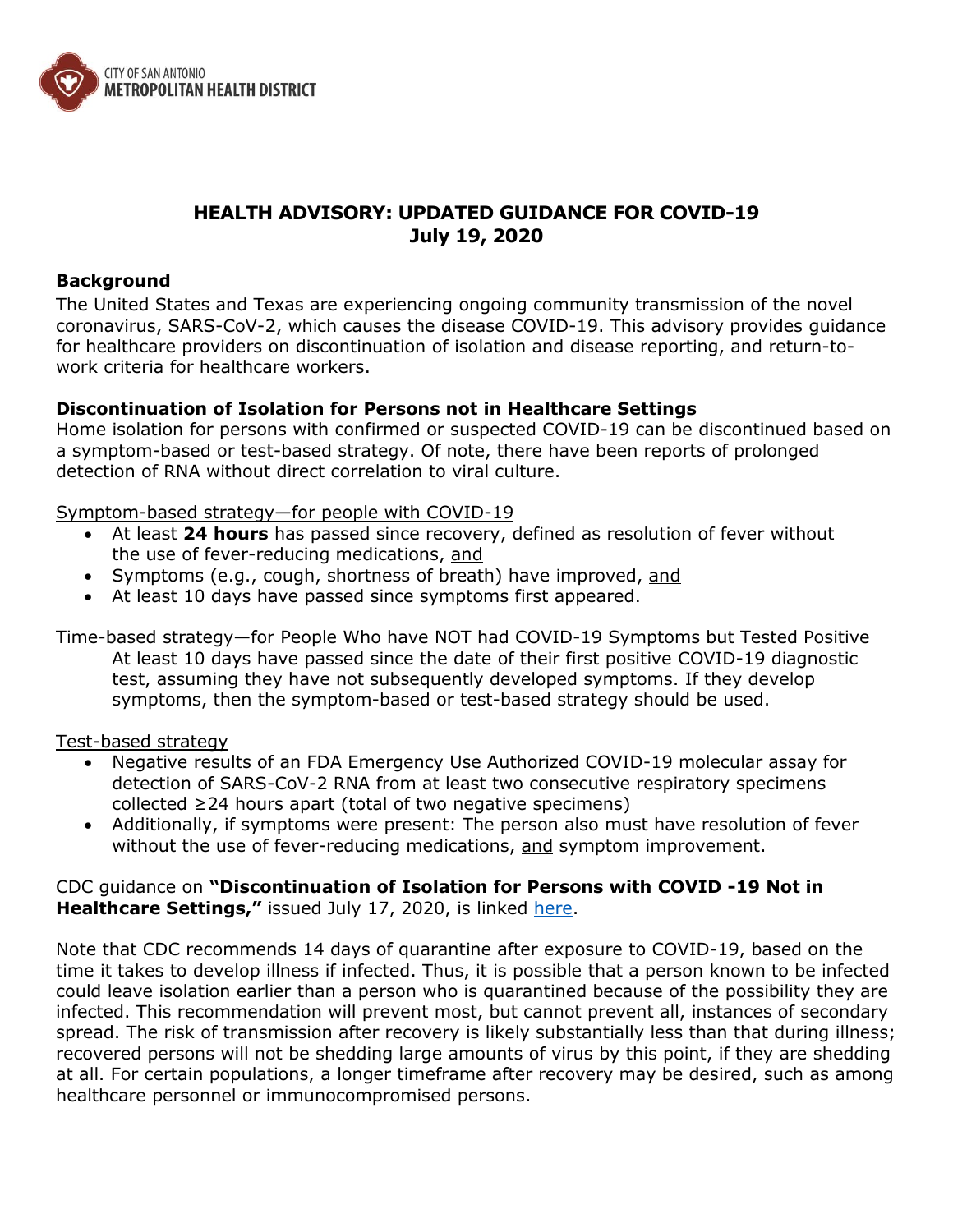

# **HEALTH ADVISORY: UPDATED GUIDANCE FOR COVID-19 July 19, 2020**

# **Background**

The United States and Texas are experiencing ongoing community transmission of the novel coronavirus, SARS-CoV-2, which causes the disease COVID-19. This advisory provides guidance for healthcare providers on discontinuation of isolation and disease reporting, and return-towork criteria for healthcare workers.

### **Discontinuation of Isolation for Persons not in Healthcare Settings**

Home isolation for persons with confirmed or suspected COVID-19 can be discontinued based on a symptom-based or test-based strategy. Of note, there have been reports of prolonged detection of RNA without direct correlation to viral culture.

### Symptom-based strategy—for people with COVID-19

- At least **24 hours** has passed since recovery, defined as resolution of fever without the use of fever-reducing medications, and
- Symptoms (e.g., cough, shortness of breath) have improved, and
- At least 10 days have passed since symptoms first appeared.

Time-based strategy—for People Who have NOT had COVID-19 Symptoms but Tested Positive At least 10 days have passed since the date of their first positive COVID-19 diagnostic test, assuming they have not subsequently developed symptoms. If they develop symptoms, then the symptom-based or test-based strategy should be used.

### Test-based strategy

- Negative results of an FDA Emergency Use Authorized COVID-19 molecular assay for detection of SARS-CoV-2 RNA from at least two consecutive respiratory specimens collected ≥24 hours apart (total of two negative specimens)
- Additionally, if symptoms were present: The person also must have resolution of fever without the use of fever-reducing medications, and symptom improvement.

# CDC guidance on **"Discontinuation of Isolation for Persons with COVID -19 Not in Healthcare Settings,"** issued July 17, 2020, is linked here.

Note that CDC recommends 14 days of quarantine after exposure to COVID-19, based on the time it takes to develop illness if infected. Thus, it is possible that a person known to be infected could leave isolation earlier than a person who is quarantined because of the possibility they are infected. This recommendation will prevent most, but cannot prevent all, instances of secondary spread. The risk of transmission after recovery is likely substantially less than that during illness; recovered persons will not be shedding large amounts of virus by this point, if they are shedding at all. For certain populations, a longer timeframe after recovery may be desired, such as among healthcare personnel or immunocompromised persons.